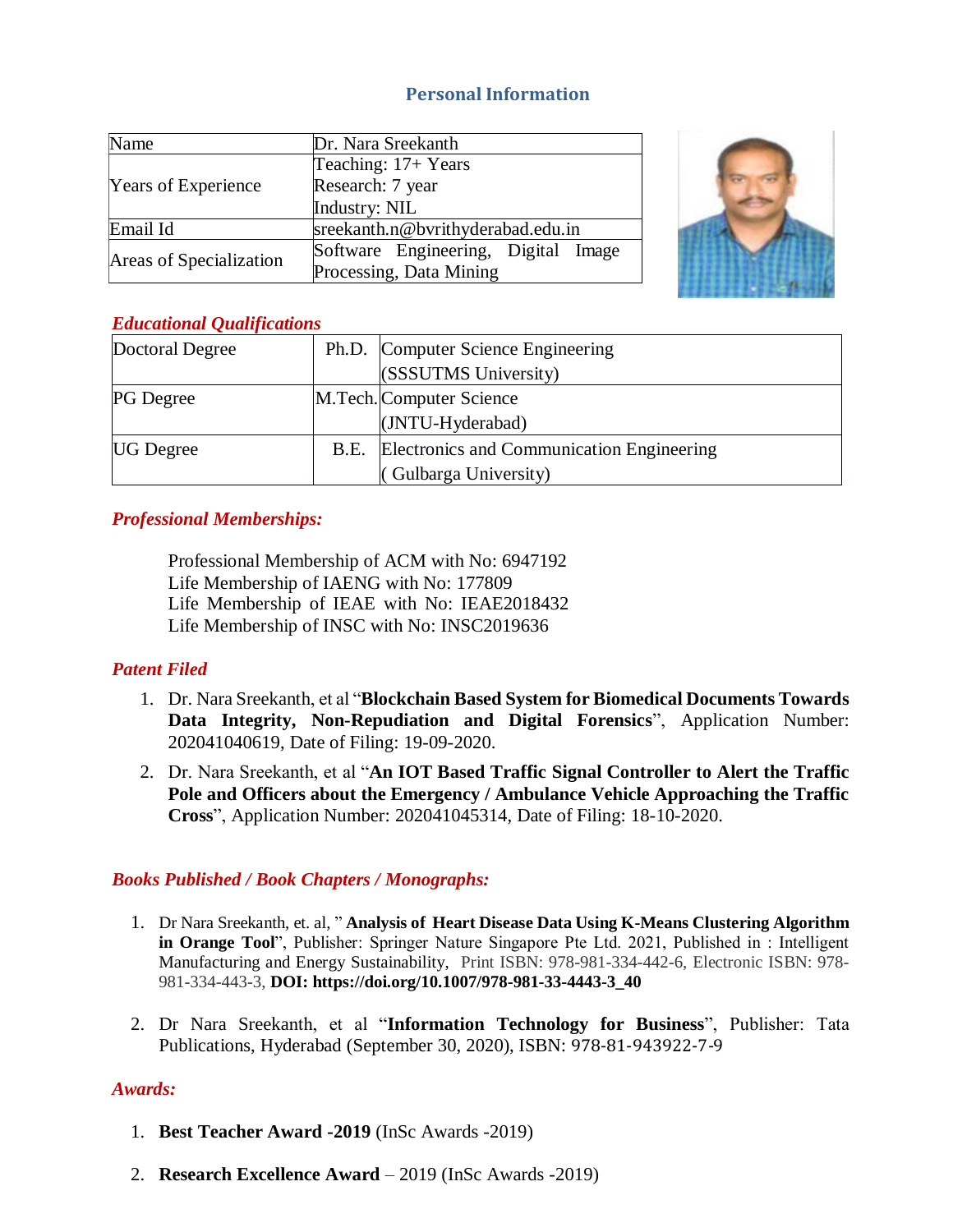# **Personal Information**

| Name                       | Dr. Nara Sreekanth                  |
|----------------------------|-------------------------------------|
| <b>Years of Experience</b> | Teaching: 17+ Years                 |
|                            | Research: 7 year                    |
|                            | Industry: NIL                       |
| Email Id                   | sreekanth.n@bvrithyderabad.edu.in   |
| Areas of Specialization    | Software Engineering, Digital Image |
|                            | Processing, Data Mining             |



# *Educational Qualifications*

| Doctoral Degree  | Ph.D. Computer Science Engineering             |
|------------------|------------------------------------------------|
|                  | (SSSUTMS University)                           |
| <b>PG</b> Degree | M.Tech. Computer Science                       |
|                  | (JNTU-Hyderabad)                               |
| <b>UG</b> Degree | B.E. Electronics and Communication Engineering |
|                  | (Gulbarga University)                          |

# *Professional Memberships:*

Professional Membership of ACM with No: 6947192 Life Membership of IAENG with No: 177809 Life Membership of IEAE with No: IEAE2018432 Life Membership of INSC with No: INSC2019636

# *Patent Filed*

- 1. Dr. Nara Sreekanth, et al "**Blockchain Based System for Biomedical Documents Towards Data Integrity, Non-Repudiation and Digital Forensics**", Application Number: 202041040619, Date of Filing: 19-09-2020.
- 2. Dr. Nara Sreekanth, et al "**An IOT Based Traffic Signal Controller to Alert the Traffic Pole and Officers about the Emergency / Ambulance Vehicle Approaching the Traffic Cross**", Application Number: 202041045314, Date of Filing: 18-10-2020.

# *Books Published / Book Chapters / Monographs:*

- 1. Dr Nara Sreekanth, et. al, " **Analysis of Heart Disease Data Using K-Means Clustering Algorithm in Orange Tool**", Publisher: Springer Nature Singapore Pte Ltd. 2021, Published in : Intelligent Manufacturing and Energy Sustainability, Print ISBN: 978-981-334-442-6, Electronic ISBN: 978- 981-334-443-3, **DOI: https://doi.org/10.1007/978-981-33-4443-3\_40**
- 2. Dr Nara Sreekanth, et al "**Information Technology for Business**", Publisher: Tata Publications, Hyderabad (September 30, 2020), ISBN: 978-81-943922-7-9

# *Awards:*

- 1. **Best Teacher Award -2019** (InSc Awards -2019)
- 2. **Research Excellence Award**  2019 (InSc Awards -2019)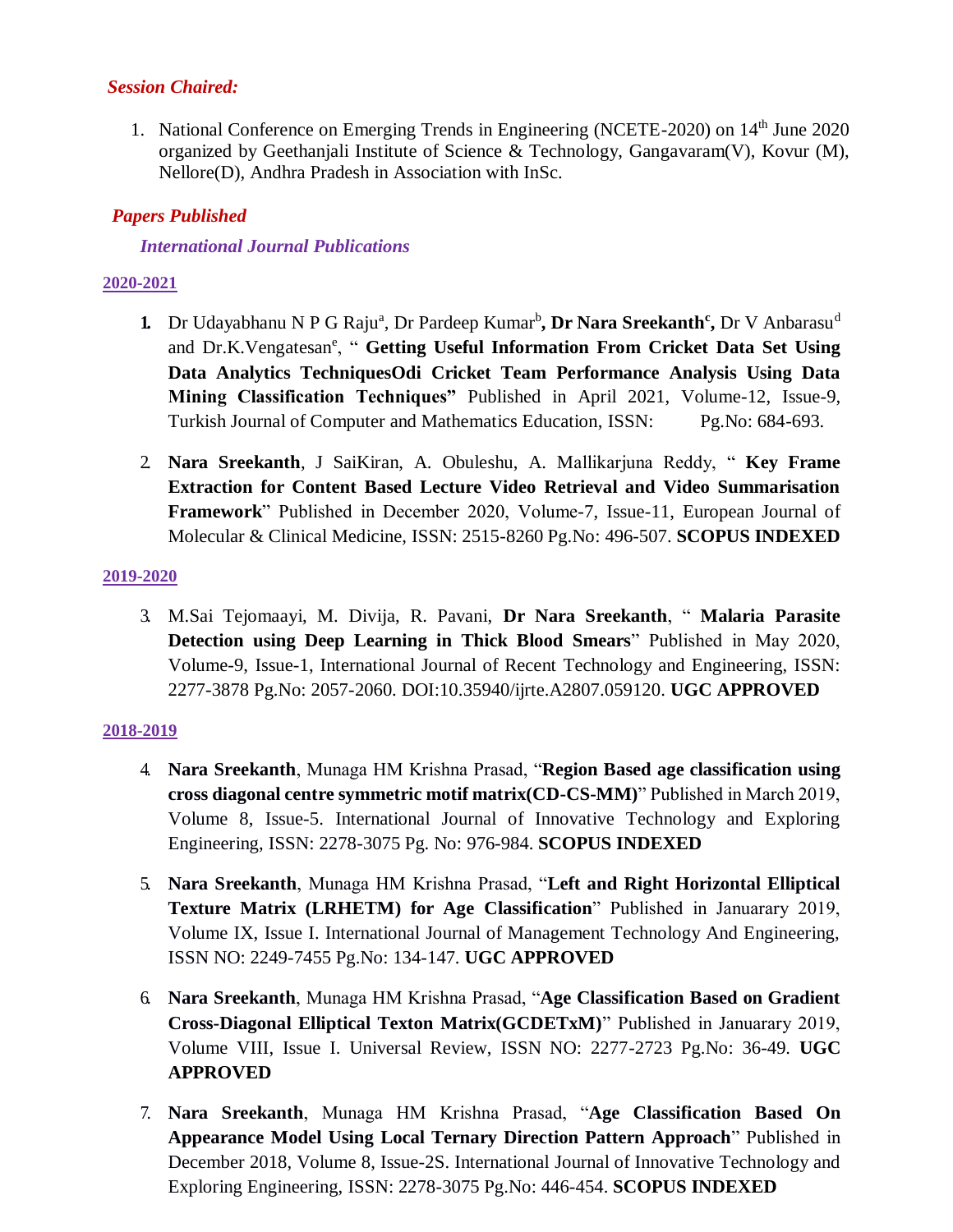## *Session Chaired:*

1. National Conference on Emerging Trends in Engineering (NCETE-2020) on 14<sup>th</sup> June 2020 organized by Geethanjali Institute of Science & Technology, Gangavaram(V), Kovur (M), Nellore(D), Andhra Pradesh in Association with InSc.

## *Papers Published*

## *International Journal Publications*

## **2020-2021**

- 1. Dr Udayabhanu N P G Raju<sup>a</sup>, Dr Pardeep Kumar<sup>b</sup>, Dr Nara Sreekanth<sup>c</sup>, Dr V Anbarasu<sup>d</sup> and Dr.K.Vengatesan<sup>e</sup>, " Getting Useful Information From Cricket Data Set Using **Data Analytics TechniquesOdi Cricket Team Performance Analysis Using Data Mining Classification Techniques"** Published in April 2021, Volume-12, Issue-9, Turkish Journal of Computer and Mathematics Education, ISSN: Pg.No: 684-693.
- 2. **Nara Sreekanth**, J SaiKiran, A. Obuleshu, A. Mallikarjuna Reddy, " **Key Frame Extraction for Content Based Lecture Video Retrieval and Video Summarisation Framework**" Published in December 2020, Volume-7, Issue-11, European Journal of Molecular & Clinical Medicine, ISSN: 2515-8260 Pg.No: 496-507. **SCOPUS INDEXED**

### **2019-2020**

3. M.Sai Tejomaayi, M. Divija, R. Pavani, **Dr Nara Sreekanth**, " **Malaria Parasite Detection using Deep Learning in Thick Blood Smears**" Published in May 2020, Volume-9, Issue-1, International Journal of Recent Technology and Engineering, ISSN: 2277-3878 Pg.No: 2057-2060. DOI:10.35940/ijrte.A2807.059120. **UGC APPROVED**

#### **2018-2019**

- 4. **Nara Sreekanth**, Munaga HM Krishna Prasad, "**Region Based age classification using cross diagonal centre symmetric motif matrix(CD-CS-MM)**" Published in March 2019, Volume 8, Issue-5. International Journal of Innovative Technology and Exploring Engineering, ISSN: 2278-3075 Pg. No: 976-984. **SCOPUS INDEXED**
- 5. **Nara Sreekanth**, Munaga HM Krishna Prasad, "**Left and Right Horizontal Elliptical Texture Matrix (LRHETM) for Age Classification**" Published in Januarary 2019, Volume IX, Issue I. International Journal of Management Technology And Engineering, ISSN NO: 2249-7455 Pg.No: 134-147. **UGC APPROVED**
- 6. **Nara Sreekanth**, Munaga HM Krishna Prasad, "**Age Classification Based on Gradient Cross-Diagonal Elliptical Texton Matrix(GCDETxM)**" Published in Januarary 2019, Volume VIII, Issue I. Universal Review, ISSN NO: 2277-2723 Pg.No: 36-49. **UGC APPROVED**
- 7. **Nara Sreekanth**, Munaga HM Krishna Prasad, "**Age Classification Based On Appearance Model Using Local Ternary Direction Pattern Approach**" Published in December 2018, Volume 8, Issue-2S. International Journal of Innovative Technology and Exploring Engineering, ISSN: 2278-3075 Pg.No: 446-454. **SCOPUS INDEXED**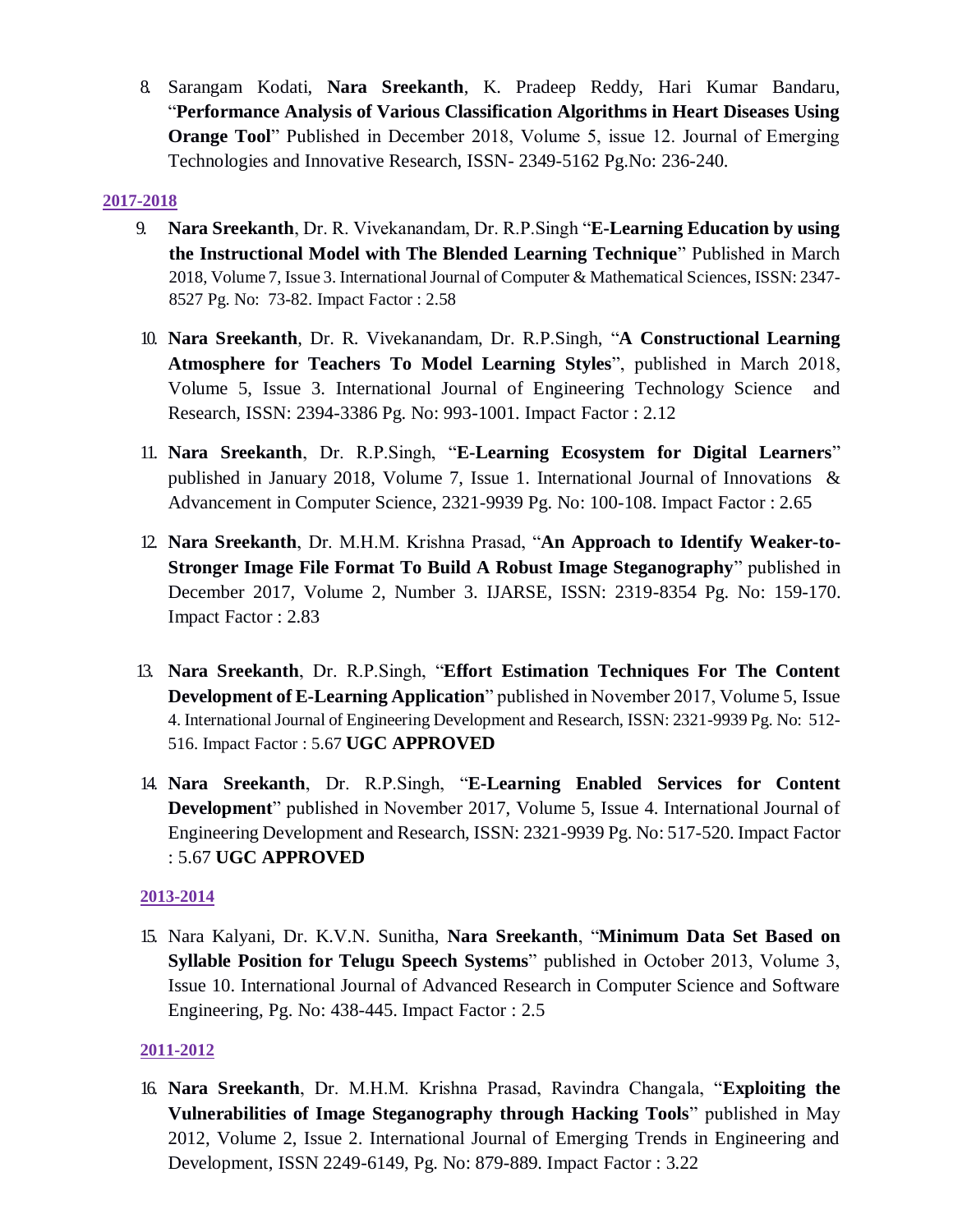8. Sarangam Kodati, **Nara Sreekanth**, K. Pradeep Reddy, Hari Kumar Bandaru, "**Performance Analysis of Various Classification Algorithms in Heart Diseases Using Orange Tool**" Published in December 2018, Volume 5, issue 12. Journal of Emerging Technologies and Innovative Research, ISSN- 2349-5162 Pg.No: 236-240.

### **2017-2018**

- 9. **Nara Sreekanth**, Dr. R. Vivekanandam, Dr. R.P.Singh "**E-Learning Education by using the Instructional Model with The Blended Learning Technique**" Published in March 2018, Volume 7, Issue 3. International Journal of Computer & Mathematical Sciences, ISSN: 2347- 8527 Pg. No: 73-82. Impact Factor : 2.58
- 10. **Nara Sreekanth**, Dr. R. Vivekanandam, Dr. R.P.Singh, "**A Constructional Learning Atmosphere for Teachers To Model Learning Styles**", published in March 2018, Volume 5, Issue 3. International Journal of Engineering Technology Science and Research, ISSN: 2394-3386 Pg. No: 993-1001. Impact Factor : 2.12
- 11. **Nara Sreekanth**, Dr. R.P.Singh, "**E-Learning Ecosystem for Digital Learners**" published in January 2018, Volume 7, Issue 1. International Journal of Innovations & Advancement in Computer Science, 2321-9939 Pg. No: 100-108. Impact Factor : 2.65
- 12. **Nara Sreekanth**, Dr. M.H.M. Krishna Prasad, "**An Approach to Identify Weaker-to-Stronger Image File Format To Build A Robust Image Steganography**" published in December 2017, Volume 2, Number 3. IJARSE, ISSN: 2319-8354 Pg. No: 159-170. Impact Factor : 2.83
- 13. **Nara Sreekanth**, Dr. R.P.Singh, "**Effort Estimation Techniques For The Content Development of E-Learning Application**" published in November 2017, Volume 5, Issue 4. International Journal of Engineering Development and Research, ISSN: 2321-9939 Pg. No: 512- 516. Impact Factor : 5.67 **UGC APPROVED**
- 14. **Nara Sreekanth**, Dr. R.P.Singh, "**E-Learning Enabled Services for Content Development**" published in November 2017, Volume 5, Issue 4. International Journal of Engineering Development and Research, ISSN: 2321-9939 Pg. No: 517-520. Impact Factor : 5.67 **UGC APPROVED**

### **2013-2014**

15. Nara Kalyani, Dr. K.V.N. Sunitha, **Nara Sreekanth**, "**Minimum Data Set Based on Syllable Position for Telugu Speech Systems**" published in October 2013, Volume 3, Issue 10. International Journal of Advanced Research in Computer Science and Software Engineering, Pg. No: 438-445. Impact Factor : 2.5

### **2011-2012**

16. **Nara Sreekanth**, Dr. M.H.M. Krishna Prasad, Ravindra Changala, "**Exploiting the Vulnerabilities of Image Steganography through Hacking Tools**" published in May 2012, Volume 2, Issue 2. International Journal of Emerging Trends in Engineering and Development, ISSN 2249-6149, Pg. No: 879-889. Impact Factor : 3.22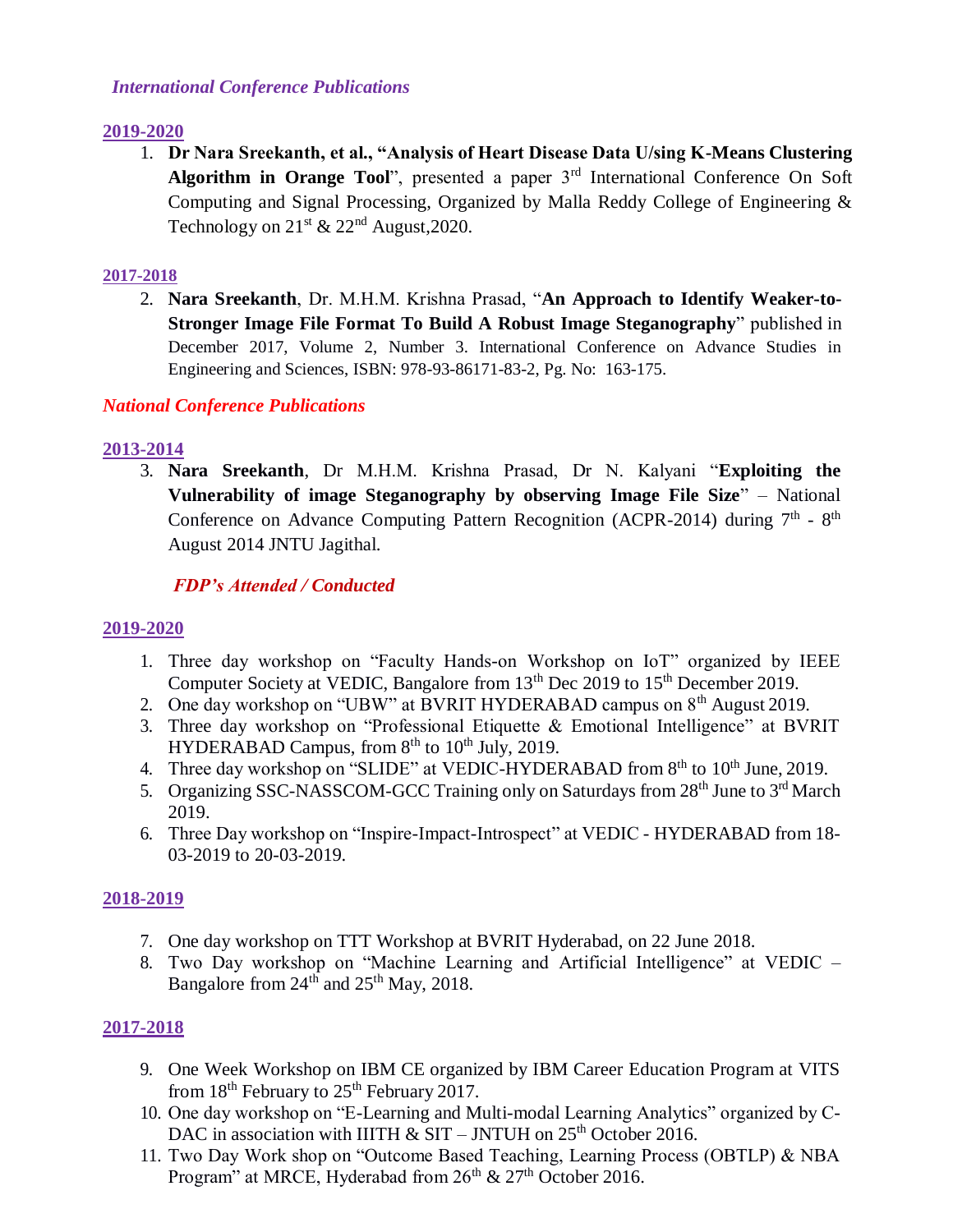## *International Conference Publications*

## **2019-2020**

1. **Dr Nara Sreekanth, et al., "Analysis of Heart Disease Data U/sing K-Means Clustering**  Algorithm in Orange Tool", presented a paper 3<sup>rd</sup> International Conference On Soft Computing and Signal Processing, Organized by Malla Reddy College of Engineering & Technology on  $21^{st}$  &  $22^{nd}$  August, 2020.

## **2017-2018**

2. **Nara Sreekanth**, Dr. M.H.M. Krishna Prasad, "**An Approach to Identify Weaker-to-Stronger Image File Format To Build A Robust Image Steganography**" published in December 2017, Volume 2, Number 3. International Conference on Advance Studies in Engineering and Sciences, ISBN: 978-93-86171-83-2, Pg. No: 163-175.

# *National Conference Publications*

# **2013-2014**

3. **Nara Sreekanth**, Dr M.H.M. Krishna Prasad, Dr N. Kalyani "**Exploiting the Vulnerability of image Steganography by observing Image File Size**" – National Conference on Advance Computing Pattern Recognition (ACPR-2014) during  $7<sup>th</sup>$  -  $8<sup>th</sup>$ August 2014 JNTU Jagithal.

# *FDP's Attended / Conducted*

# **2019-2020**

- 1. Three day workshop on "Faculty Hands-on Workshop on IoT" organized by IEEE Computer Society at VEDIC, Bangalore from 13<sup>th</sup> Dec 2019 to 15<sup>th</sup> December 2019.
- 2. One day workshop on "UBW" at BVRIT HYDERABAD campus on  $8<sup>th</sup>$  August 2019.
- 3. Three day workshop on "Professional Etiquette & Emotional Intelligence" at BVRIT HYDERABAD Campus, from  $8<sup>th</sup>$  to  $10<sup>th</sup>$  July, 2019.
- 4. Three day workshop on "SLIDE" at VEDIC-HYDERABAD from 8<sup>th</sup> to 10<sup>th</sup> June, 2019.
- 5. Organizing SSC-NASSCOM-GCC Training only on Saturdays from 28<sup>th</sup> June to 3<sup>rd</sup> March 2019.
- 6. Three Day workshop on "Inspire-Impact-Introspect" at VEDIC HYDERABAD from 18- 03-2019 to 20-03-2019.

# **2018-2019**

- 7. One day workshop on TTT Workshop at BVRIT Hyderabad, on 22 June 2018.
- 8. Two Day workshop on "Machine Learning and Artificial Intelligence" at VEDIC Bangalore from 24<sup>th</sup> and 25<sup>th</sup> May, 2018.

# **2017-2018**

- 9. One Week Workshop on IBM CE organized by IBM Career Education Program at VITS from  $18<sup>th</sup>$  February to  $25<sup>th</sup>$  February 2017.
- 10. One day workshop on "E-Learning and Multi-modal Learning Analytics" organized by C-DAC in association with IIITH  $\&$  SIT – JNTUH on 25<sup>th</sup> October 2016.
- 11. Two Day Work shop on "Outcome Based Teaching, Learning Process (OBTLP) & NBA Program" at MRCE, Hyderabad from  $26<sup>th</sup>$  &  $27<sup>th</sup>$  October 2016.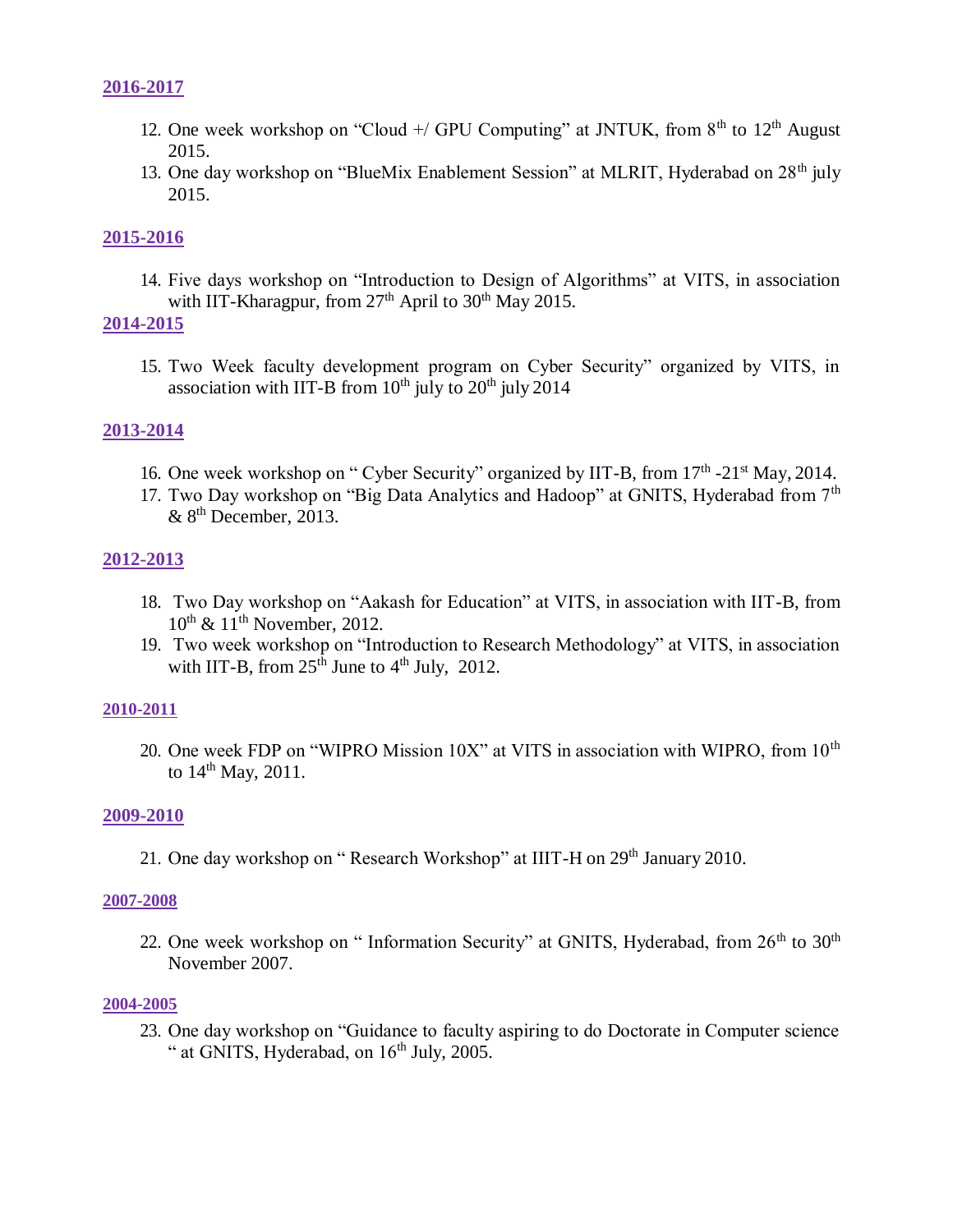### **2016-2017**

- 12. One week workshop on "Cloud  $+$ / GPU Computing" at JNTUK, from  $8<sup>th</sup>$  to  $12<sup>th</sup>$  August 2015.
- 13. One day workshop on "BlueMix Enablement Session" at MLRIT, Hyderabad on 28<sup>th</sup> july 2015.

### **2015-2016**

14. Five days workshop on "Introduction to Design of Algorithms" at VITS, in association with IIT-Kharagpur, from  $27<sup>th</sup>$  April to  $30<sup>th</sup>$  May 2015.

### **2014-2015**

15. Two Week faculty development program on Cyber Security" organized by VITS, in association with IIT-B from  $10^{th}$  july to  $20^{th}$  july  $2014$ 

### **2013-2014**

- 16. One week workshop on "Cyber Security" organized by IIT-B, from 17<sup>th</sup> -21<sup>st</sup> May, 2014.
- 17. Two Day workshop on "Big Data Analytics and Hadoop" at GNITS, Hyderabad from  $7<sup>th</sup>$  $& 8<sup>th</sup>$  December, 2013.

### **2012-2013**

- 18. Two Day workshop on "Aakash for Education" at VITS, in association with IIT-B, from  $10^{\text{th}}$  &  $11^{\text{th}}$  November, 2012.
- 19. Two week workshop on "Introduction to Research Methodology" at VITS, in association with IIT-B, from  $25<sup>th</sup>$  June to  $4<sup>th</sup>$  July, 2012.

#### **2010-2011**

20. One week FDP on "WIPRO Mission  $10X$ " at VITS in association with WIPRO, from  $10<sup>th</sup>$ to  $14^{th}$  May, 2011.

#### **2009-2010**

21. One day workshop on "Research Workshop" at IIIT-H on 29<sup>th</sup> January 2010.

#### **2007-2008**

22. One week workshop on " Information Security" at GNITS, Hyderabad, from  $26<sup>th</sup>$  to  $30<sup>th</sup>$ November 2007.

#### **2004-2005**

23. One day workshop on "Guidance to faculty aspiring to do Doctorate in Computer science " at GNITS, Hyderabad, on  $16<sup>th</sup>$  July, 2005.